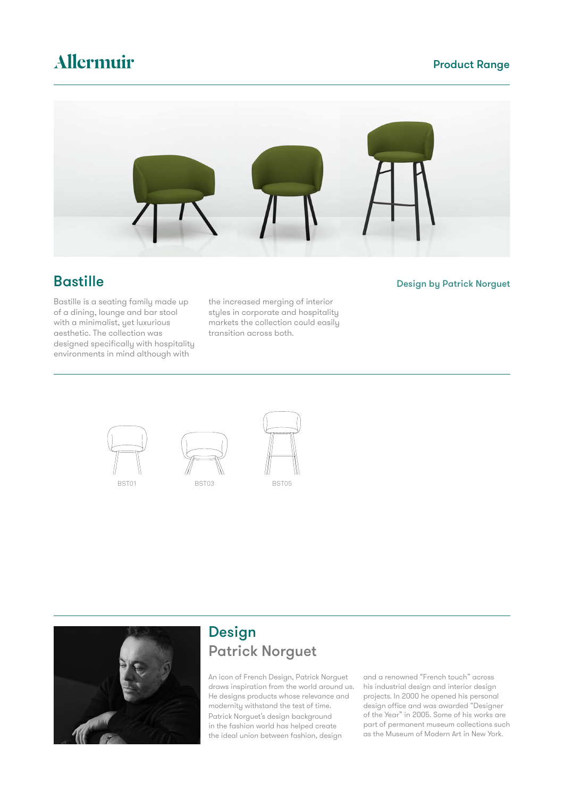# Allermuir

### Product Range



Bastille is a seating family made up of a dining, lounge and bar stool with a minimalist, yet luxurious aesthetic. The collection was designed specifically with hospitality environments in mind although with

the increased merging of interior styles in corporate and hospitality markets the collection could easily transition across both.

### **Bastille** Design by Patrick Norguet









### Design Patrick Norguet

An icon of French Design, Patrick Norguet draws inspiration from the world around us. He designs products whose relevance and modernity withstand the test of time. Patrick Norguet's design background in the fashion world has helped create the ideal union between fashion, design

and a renowned "French touch" across his industrial design and interior design projects. In 2000 he opened his personal design office and was awarded "Designer of the Year" in 2005. Some of his works are part of permanent museum collections such as the Museum of Modern Art in New York.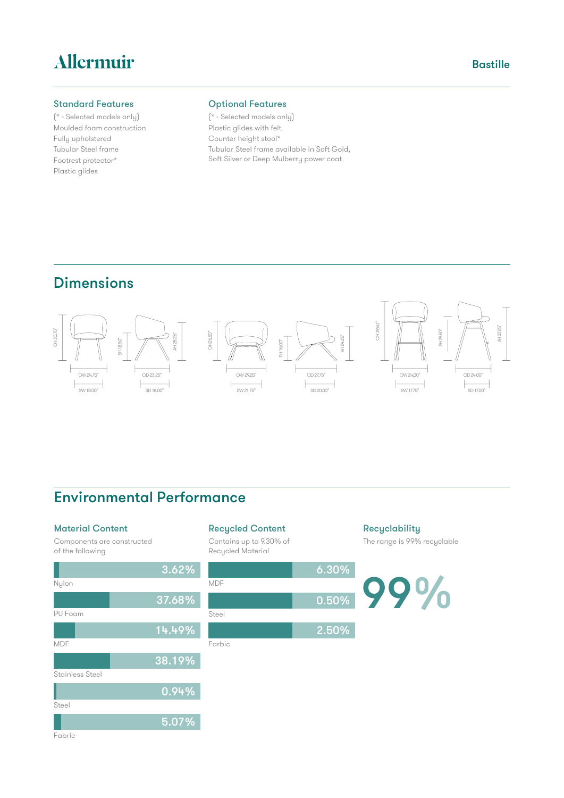# Allermuir

### Standard Features

(\* - Selected models only) Moulded foam construction Fully upholstered Tubular Steel frame Footrest protector\* Plastic glides

### Optional Features

(\* - Selected models only) Plastic glides with felt Counter height stool\* Tubular Steel frame available in Soft Gold, Soft Silver or Deep Mulberry power coat

## Dimensions



### Environmental Performance

#### Material Content

Components are constructed of the following



# Recycled Content

Contains up to 9.30% of Recycled Material



### **Recyclability** The range is 99% recyclable

**Bastille** 

99%

#### Fabric